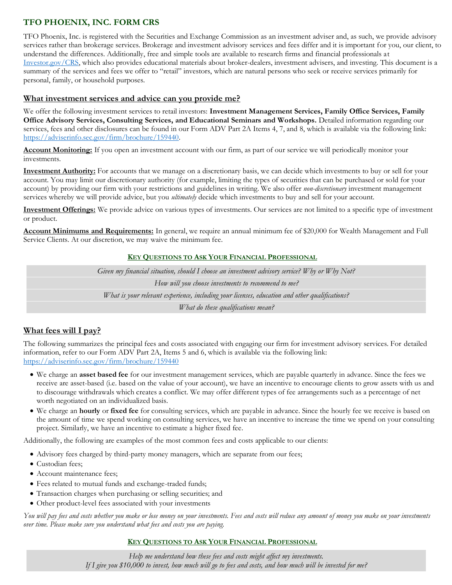# **TFO PHOENIX, INC. FORM CRS**

TFO Phoenix, Inc. is registered with the Securities and Exchange Commission as an investment adviser and, as such, we provide advisory services rather than brokerage services. Brokerage and investment advisory services and fees differ and it is important for you, our client, to understand the differences. Additionally, free and simple tools are available to research firms and financial professionals at [Investor.gov/CRS,](http://www.investor.gov/CRS) which also provides educational materials about broker-dealers, investment advisers, and investing. This document is a summary of the services and fees we offer to "retail" investors, which are natural persons who seek or receive services primarily for personal, family, or household purposes.

## **What investment services and advice can you provide me?**

We offer the following investment services to retail investors: **Investment Management Services, Family Office Services, Family Office Advisory Services, Consulting Services, and Educational Seminars and Workshops.** Detailed information regarding our services, fees and other disclosures can be found in our Form ADV Part 2A Items 4, 7, and 8, which is available via the following link: [https://adviserinfo.sec.gov/firm/brochure/159440.](https://adviserinfo.sec.gov/firm/brochure/159440)

**Account Monitoring:** If you open an investment account with our firm, as part of our service we will periodically monitor your investments.

**Investment Authority:** For accounts that we manage on a discretionary basis, we can decide which investments to buy or sell for your account. You may limit our discretionary authority (for example, limiting the types of securities that can be purchased or sold for your account) by providing our firm with your restrictions and guidelines in writing. We also offer *non-discretionary* investment management services whereby we will provide advice, but you *ultimately* decide which investments to buy and sell for your account.

**Investment Offerings:** We provide advice on various types of investments. Our services are not limited to a specific type of investment or product.

**Account Minimums and Requirements:** In general, we require an annual minimum fee of \$20,000 for Wealth Management and Full Service Clients. At our discretion, we may waive the minimum fee.

### **KEY QUESTIONS TO ASK YOUR FINANCIAL PROFESSIONAL**

*Given my financial situation, should I choose an investment advisory service? Why or Why Not? How will you choose investments to recommend to me? What is your relevant experience, including your licenses, education and other qualifications? What do these qualifications mean?*

# **What fees will I pay?**

The following summarizes the principal fees and costs associated with engaging our firm for investment advisory services. For detailed information, refer to our Form ADV Part 2A, Items 5 and 6, which is available via the following link: <https://adviserinfo.sec.gov/firm/brochure/159440>

- We charge an **asset based fee** for our investment management services, which are payable quarterly in advance. Since the fees we receive are asset-based (i.e. based on the value of your account), we have an incentive to encourage clients to grow assets with us and to discourage withdrawals which creates a conflict. We may offer different types of fee arrangements such as a percentage of net worth negotiated on an individualized basis.
- We charge an **hourly** or **fixed fee** for consulting services, which are payable in advance. Since the hourly fee we receive is based on the amount of time we spend working on consulting services, we have an incentive to increase the time we spend on your consulting project. Similarly, we have an incentive to estimate a higher fixed fee.

Additionally, the following are examples of the most common fees and costs applicable to our clients:

- Advisory fees charged by third-party money managers, which are separate from our fees;
- Custodian fees;
- Account maintenance fees;
- Fees related to mutual funds and exchange-traded funds;
- Transaction charges when purchasing or selling securities; and
- Other product-level fees associated with your investments

*You will pay fees and costs whether you make or lose money on your investments. Fees and costs will reduce any amount of money you make on your investments over time. Please make sure you understand what fees and costs you are paying.* 

# **KEY QUESTIONS TO ASK YOUR FINANCIAL PROFESSIONAL**